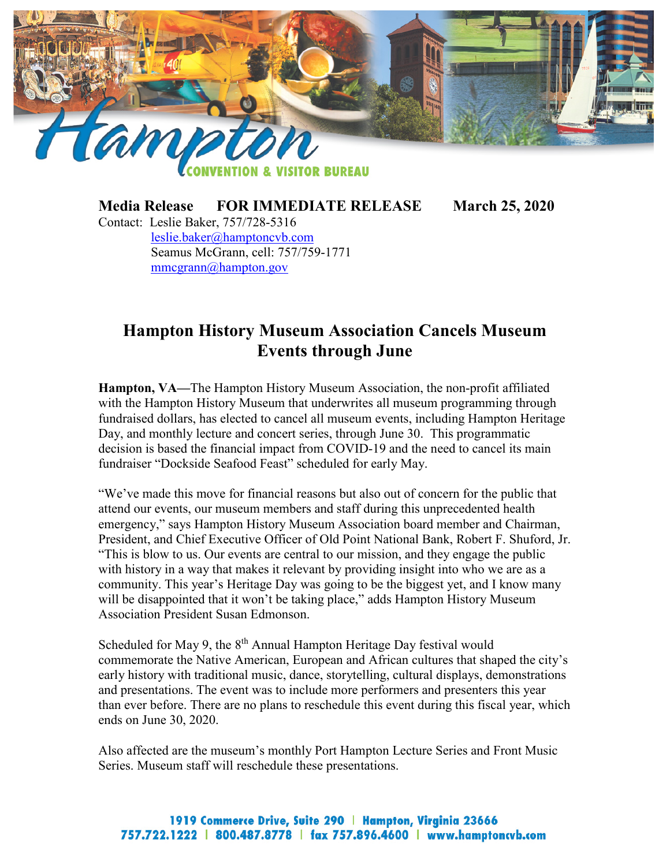

**BUREAU** 

**Media Release FOR IMMEDIATE RELEASE March 25, 2020**

Contact: Leslie Baker, 757/728-5316 [leslie.baker@hamptoncvb.com](mailto:leslie.baker@hamptoncvb.com) Seamus McGrann, cell: 757/759-1771 [mmcgrann@hampton.gov](mailto:mmcgrann@hampton.gov)

## **Hampton History Museum Association Cancels Museum Events through June**

**Hampton, VA—**The Hampton History Museum Association, the non-profit affiliated with the Hampton History Museum that underwrites all museum programming through fundraised dollars, has elected to cancel all museum events, including Hampton Heritage Day, and monthly lecture and concert series, through June 30. This programmatic decision is based the financial impact from COVID-19 and the need to cancel its main fundraiser "Dockside Seafood Feast" scheduled for early May.

"We've made this move for financial reasons but also out of concern for the public that attend our events, our museum members and staff during this unprecedented health emergency," says Hampton History Museum Association board member and Chairman, President, and Chief Executive Officer of Old Point National Bank, Robert F. Shuford, Jr. "This is blow to us. Our events are central to our mission, and they engage the public with history in a way that makes it relevant by providing insight into who we are as a community. This year's Heritage Day was going to be the biggest yet, and I know many will be disappointed that it won't be taking place," adds Hampton History Museum Association President Susan Edmonson.

Scheduled for May 9, the  $8<sup>th</sup>$  Annual Hampton Heritage Day festival would commemorate the Native American, European and African cultures that shaped the city's early history with traditional music, dance, storytelling, cultural displays, demonstrations and presentations. The event was to include more performers and presenters this year than ever before. There are no plans to reschedule this event during this fiscal year, which ends on June 30, 2020.

Also affected are the museum's monthly Port Hampton Lecture Series and Front Music Series. Museum staff will reschedule these presentations.